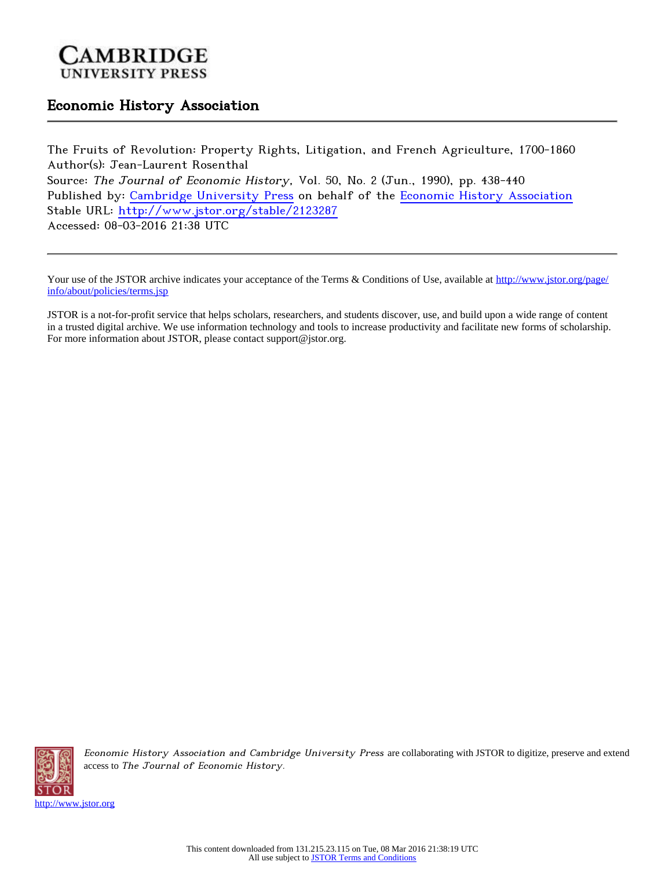# CAMBRIDGE **UNIVERSITY PRESS**

## Economic History Association

The Fruits of Revolution: Property Rights, Litigation, and French Agriculture, 1700-1860 Author(s): Jean-Laurent Rosenthal Source: The Journal of Economic History, Vol. 50, No. 2 (Jun., 1990), pp. 438-440 Published by: [Cambridge University Press](http://www.jstor.org/publisher/cup) on behalf of the [Economic History Association](http://www.jstor.org/publisher/eha) Stable URL: <http://www.jstor.org/stable/2123287> Accessed: 08-03-2016 21:38 UTC

Your use of the JSTOR archive indicates your acceptance of the Terms & Conditions of Use, available at [http://www.jstor.org/page/](http://www.jstor.org/page/info/about/policies/terms.jsp) [info/about/policies/terms.jsp](http://www.jstor.org/page/info/about/policies/terms.jsp)

JSTOR is a not-for-profit service that helps scholars, researchers, and students discover, use, and build upon a wide range of content in a trusted digital archive. We use information technology and tools to increase productivity and facilitate new forms of scholarship. For more information about JSTOR, please contact support@jstor.org.



Economic History Association and Cambridge University Press are collaborating with JSTOR to digitize, preserve and extend access to The Journal of Economic History.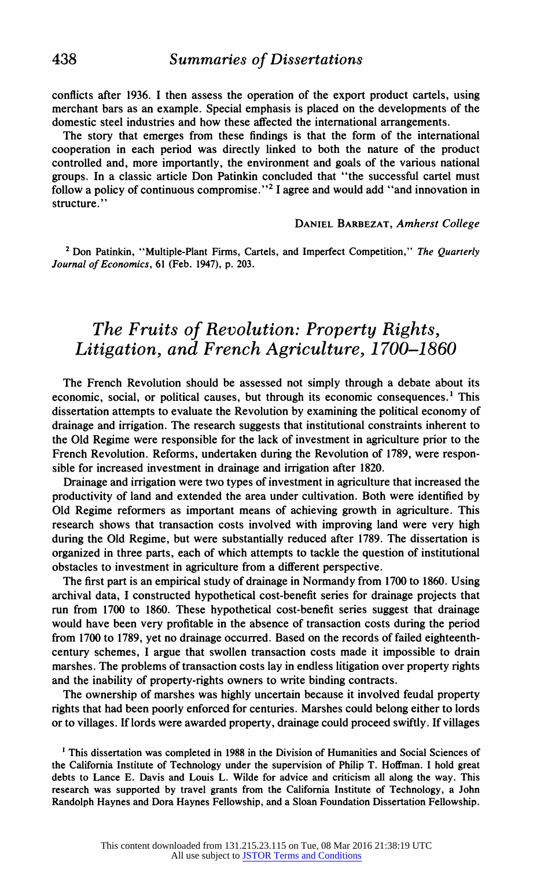conflicts after 1936. I then assess the operation of the export product cartels, using merchant bars as an example. Special emphasis is placed on the developments of the domestic steel industries and how these affected the international arrangements.

 The story that emerges from these findings is that the form of the international cooperation in each period was directly linked to both the nature of the product controlled and, more importantly, the environment and goals of the various national groups. In a classic article Don Patinkin concluded that "the successful cartel must follow a policy of continuous compromise."<sup>2</sup> I agree and would add "and innovation in structure."

#### DANIEL BARBEZAT, Amherst College

<sup>2</sup> Don Patinkin, "Multiple-Plant Firms, Cartels, and Imperfect Competition," The Quarterly Journal of Economics, 61 (Feb. 1947), p. 203.

### The Fruits of Revolution: Property Rights, Litigation, and French Agriculture, 1700-1860

 The French Revolution should be assessed not simply through a debate about its economic, social, or political causes, but through its economic consequences.' This dissertation attempts to evaluate the Revolution by examining the political economy of drainage and irrigation. The research suggests that institutional constraints inherent to the Old Regime were responsible for the lack of investment in agriculture prior to the French Revolution. Reforms, undertaken during the Revolution of 1789, were respon sible for increased investment in drainage and irrigation after 1820.

 Drainage and irrigation were two types of investment in agriculture that increased the productivity of land and extended the area under cultivation. Both were identified by Old Regime reformers as important means of achieving growth in agriculture. This research shows that transaction costs involved with improving land were very high during the Old Regime, but were substantially reduced after 1789. The dissertation is organized in three parts, each of which attempts to tackle the question of institutional obstacles to investment in agriculture from a different perspective.

 The first part is an empirical study of drainage in Normandy from 1700 to 1860. Using archival data, I constructed hypothetical cost-benefit series for drainage projects that run from 1700 to 1860. These hypothetical cost-benefit series suggest that drainage would have been very profitable in the absence of transaction costs during the period from 1700 to 1789, yet no drainage occurred. Based on the records of failed eighteenth century schemes, I argue that swollen transaction costs made it impossible to drain marshes. The problems of transaction costs lay in endless litigation over property rights and the inability of property-rights owners to write binding contracts.

 The ownership of marshes was highly uncertain because it involved feudal property rights that had been poorly enforced for centuries. Marshes could belong either to lords or to villages. If lords were awarded property, drainage could proceed swiftly. If villages

 ' This dissertation was completed in 1988 in the Division of Humanities and Social Sciences of the California Institute of Technology under the supervision of Philip T. Hoffman. I hold great debts to Lance E. Davis and Louis L. Wilde for advice and criticism all along the way. This research was supported by travel grants from the California Institute of Technology, a John Randolph Haynes and Dora Haynes Fellowship, and a Sloan Foundation Dissertation Fellowship.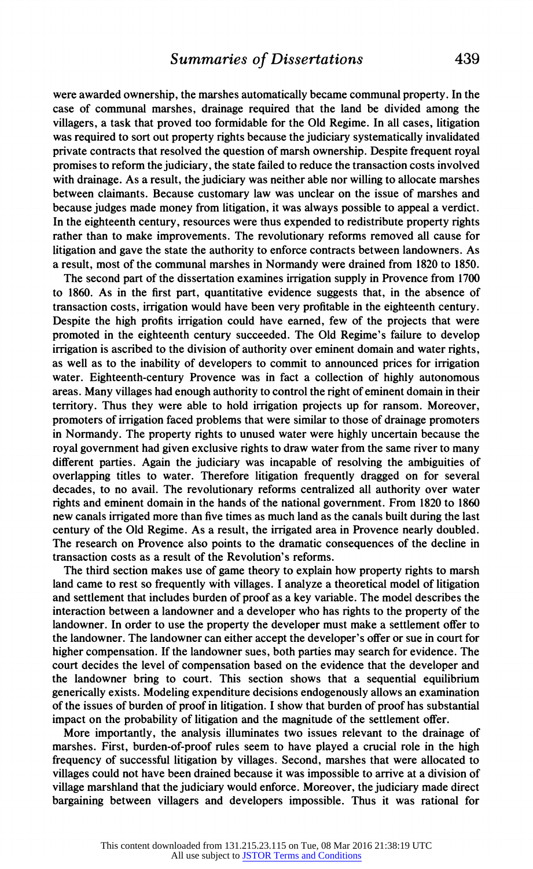were awarded ownership, the marshes automatically became communal property. In the case of communal marshes, drainage required that the land be divided among the villagers, a task that proved too formidable for the Old Regime. In all cases, litigation was required to sort out property rights because the judiciary systematically invalidated private contracts that resolved the question of marsh ownership. Despite frequent royal promises to reform the judiciary, the state failed to reduce the transaction costs involved with drainage. As a result, the judiciary was neither able nor willing to allocate marshes between claimants. Because customary law was unclear on the issue of marshes and because judges made money from litigation, it was always possible to appeal a verdict. In the eighteenth century, resources were thus expended to redistribute property rights rather than to make improvements. The revolutionary reforms removed all cause for litigation and gave the state the authority to enforce contracts between landowners. As a result, most of the communal marshes in Normandy were drained from 1820 to 1850.

 The second part of the dissertation examines irrigation supply in Provence from 1700 to 1860. As in the first part, quantitative evidence suggests that, in the absence of transaction costs, irrigation would have been very profitable in the eighteenth century. Despite the high profits irrigation could have earned, few of the projects that were promoted in the eighteenth century succeeded. The Old Regime's failure to develop irrigation is ascribed to the division of authority over eminent domain and water rights, as well as to the inability of developers to commit to announced prices for irrigation water. Eighteenth-century Provence was in fact a collection of highly autonomous areas. Many villages had enough authority to control the right of eminent domain in their territory. Thus they were able to hold irrigation projects up for ransom. Moreover, promoters of irrigation faced problems that were similar to those of drainage promoters in Normandy. The property rights to unused water were highly uncertain because the royal government had given exclusive rights to draw water from the same river to many different parties. Again the judiciary was incapable of resolving the ambiguities of overlapping titles to water. Therefore litigation frequently dragged on for several decades, to no avail. The revolutionary reforms centralized all authority over water rights and eminent domain in the hands of the national government. From 1820 to 1860 new canals irrigated more than five times as much land as the canals built during the last century of the Old Regime. As a result, the irrigated area in Provence nearly doubled. The research on Provence also points to the dramatic consequences of the decline in transaction costs as a result of the Revolution's reforms.

 The third section makes use of game theory to explain how property rights to marsh land came to rest so frequently with villages. I analyze a theoretical model of litigation and settlement that includes burden of proof as a key variable. The model describes the interaction between a landowner and a developer who has rights to the property of the landowner. In order to use the property the developer must make a settlement offer to the landowner. The landowner can either accept the developer's offer or sue in court for higher compensation. If the landowner sues, both parties may search for evidence. The court decides the level of compensation based on the evidence that the developer and the landowner bring to court. This section shows that a sequential equilibrium generically exists. Modeling expenditure decisions endogenously allows an examination of the issues of burden of proof in litigation. I show that burden of proof has substantial impact on the probability of litigation and the magnitude of the settlement offer.

 More importantly, the analysis illuminates two issues relevant to the drainage of marshes. First, burden-of-proof rules seem to have played a crucial role in the high frequency of successful litigation by villages. Second, marshes that were allocated to villages could not have been drained because it was impossible to arrive at a division of village marshland that the judiciary would enforce. Moreover, the judiciary made direct bargaining between villagers and developers impossible. Thus it was rational for